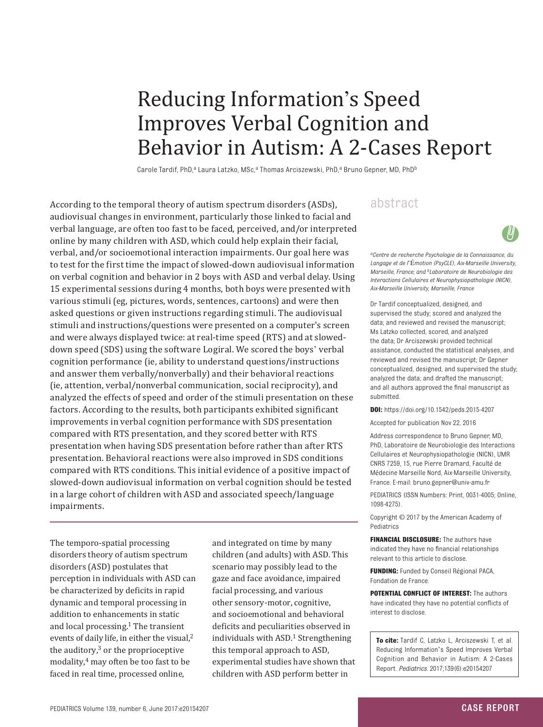# Reducing Information's Speed Improves Verbal Cognition and Behavior in Autism: A 2-Cases Report

Carole Tardif, PhD,<sup>a</sup> Laura Latzko, MSc,<sup>a</sup> Thomas Arciszewski, PhD,<sup>a</sup> Bruno Gepner, MD, PhD<sup>b</sup>

According to the temporal theory of autism spectrum disorders (ASDs),  $a\bar{b}$ stract audiovisual changes in environment, particularly those linked to facial and verbal language, are often too fast to be faced, perceived, and/or interpreted online by many children with ASD, which could help explain their facial, verbal, and/or socioemotional interaction impairments. Our goal here was to test for the first time the impact of slowed-down audiovisual information on verbal cognition and behavior in 2 boys with ASD and verbal delay. Using 15 experimental sessions during 4 months, both boys were presented with various stimuli (eg, pictures, words, sentences, cartoons) and were then asked questions or given instructions regarding stimuli. The audiovisual stimuli and instructions/questions were presented on a computer's screen and were always displayed twice: at real-time speed (RTS) and at sloweddown speed (SDS) using the software Logiral. We scored the boys' verbal cognition performance (ie, ability to understand questions/instructions and answer them verbally/nonverbally) and their behavioral reactions (ie, attention, verbal/nonverbal communication, social reciprocity), and analyzed the effects of speed and order of the stimuli presentation on these factors. According to the results, both participants exhibited significant improvements in verbal cognition performance with SDS presentation compared with RTS presentation, and they scored better with RTS presentation when having SDS presentation before rather than after RTS presentation. Behavioral reactions were also improved in SDS conditions compared with RTS conditions. This initial evidence of a positive impact of slowed-down audiovisual information on verbal cognition should be tested in a large cohort of children with ASD and associated speech/language impairments.

The temporo-spatial processing disorders theory of autism spectrum disorders (ASD) postulates that perception in individuals with ASD can be characterized by deficits in rapid dynamic and temporal processing in addition to enhancements in static and local processing.<sup>1</sup> The transient events of daily life, in either the visual,<sup>2</sup> the auditory, $3$  or the proprioceptive modality[,4](#page-5-3) may often be too fast to be faced in real time, processed online,

and integrated on time by many children (and adults) with ASD. This scenario may possibly lead to the gaze and face avoidance, impaired facial processing, and various other sensory-motor, cognitive, and socioemotional and behavioral deficits and peculiarities observed in individuals with ASD. [1](#page-5-0) Strengthening this temporal approach to ASD, experimental studies have shown that children with ASD perform better in

*aCentre de recherche Psychologie de la Connaissance, du Langage et de l*'É*motion (PsyCLE), Aix-Marseille University, Marseille, France; and bLaboratoire de Neurobiologie des Interactions Cellulaires et Neurophysiopathologie (NICN), Aix-Marseille University, Marseille, France*

Dr Tardif conceptualized, designed, and supervised the study; scored and analyzed the data; and reviewed and revised the manuscript; Ms Latzko collected, scored, and analyzed the data; Dr Arciszewski provided technical assistance, conducted the statistical analyses, and reviewed and revised the manuscript; Dr Gepner conceptualized, designed, and supervised the study; analyzed the data; and drafted the manuscript; and all authors approved the final manuscript as submitted.

**DOI:**<https://doi.org/10.1542/peds.2015-4207>

Accepted for publication Nov 22, 2016

Address correspondence to Bruno Gepner, MD, PhD, Laboratoire de Neurobiologie des Interactions Cellulaires et Neurophysiopathologie (NICN), UMR CNRS 7259, 15, rue Pierre Dramard, Faculté de Médecine Marseille Nord, Aix-Marseille University, France. E-mail: bruno.gepner@univ-amu.fr

PEDIATRICS (ISSN Numbers: Print, 0031-4005; Online, 1098-4275).

Copyright © 2017 by the American Academy of Pediatrics

**FINANCIAL DISCLOSURE:** The authors have indicated they have no financial relationships relevant to this article to disclose.

**FUNDING:** Funded by Conseil Régional PACA, Fondation de France.

**POTENTIAL CONFLICT OF INTEREST:** The authors have indicated they have no potential conflicts of interest to disclose.

**To cite:** Tardif C, Latzko L, Arciszewski T, et al. Reducing Information's Speed Improves Verbal Cognition and Behavior in Autism: A 2-Cases Report. *Pediatrics.* 2017;139(6):e20154207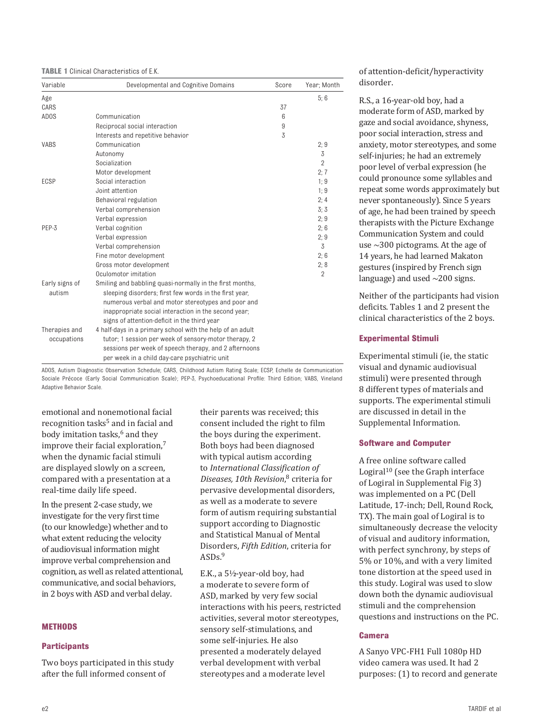| <b>TABLE 1 Clinical Characteristics of E.K.</b> |  |
|-------------------------------------------------|--|
|-------------------------------------------------|--|

| Variable          | Developmental and Cognitive Domains                       | Score | Year; Month    |
|-------------------|-----------------------------------------------------------|-------|----------------|
| Age               |                                                           |       | 5:6            |
| CARS              |                                                           | 37    |                |
| AD <sub>0</sub> S | Communication                                             | 6     |                |
|                   | Reciprocal social interaction                             | 9     |                |
|                   | Interests and repetitive behavior                         | 3     |                |
| <b>VABS</b>       | Communication                                             |       | 2;9            |
|                   | Autonomy                                                  |       | 3              |
|                   | Socialization                                             |       | $\overline{2}$ |
|                   | Motor development                                         |       | 2:7            |
| ECSP              | Social interaction                                        |       | 1:9            |
|                   | Joint attention                                           |       | 1:9            |
|                   | Behavioral regulation                                     |       | 2:4            |
|                   | Verbal comprehension                                      |       | 3:3            |
|                   | Verbal expression                                         |       | 2;9            |
| PEP-3             | Verbal cognition                                          |       | 2:6            |
|                   | Verbal expression                                         |       | 2;9            |
|                   | Verbal comprehension                                      |       | 3              |
|                   | Fine motor development                                    |       | 2;6            |
|                   | Gross motor development                                   |       | 2;8            |
|                   | Oculomotor imitation                                      |       | $\overline{2}$ |
| Early signs of    | Smiling and babbling quasi-normally in the first months,  |       |                |
| autism            | sleeping disorders; first few words in the first year,    |       |                |
|                   | numerous verbal and motor stereotypes and poor and        |       |                |
|                   | inappropriate social interaction in the second year;      |       |                |
|                   | signs of attention-deficit in the third year              |       |                |
| Therapies and     | 4 half-days in a primary school with the help of an adult |       |                |
| occupations       | tutor; 1 session per week of sensory-motor therapy, 2     |       |                |
|                   | sessions per week of speech therapy, and 2 afternoons     |       |                |
|                   | per week in a child day-care psychiatric unit             |       |                |

ADOS, Autism Diagnostic Observation Schedule; CARS, Childhood Autism Rating Scale; ECSP, Echelle de Communication Sociale Précoce (Early Social Communication Scale); PEP-3, Psychoeducational Profile: Third Edition; VABS, Vineland Adaptive Behavior Scale.

emotional and nonemotional facial recognition tasks<sup>[5](#page-5-4)</sup> and in facial and body imitation tasks,<sup>[6](#page-5-5)</sup> and they improve their facial exploration,[7](#page-5-6) when the dynamic facial stimuli are displayed slowly on a screen, compared with a presentation at a real-time daily life speed.

In the present 2-case study, we investigate for the very first time (to our knowledge) whether and to what extent reducing the velocity of audiovisual information might improve verbal comprehension and cognition, as well as related attentional, communicative, and social behaviors, in 2 boys with ASD and verbal delay.

# **Methods**

# **Participants**

Two boys participated in this study after the full informed consent of

their parents was received; this consent included the right to film the boys during the experiment. Both boys had been diagnosed with typical autism according to *International Classification of Diseases, 10th Revision*, [8](#page-5-7) criteria for pervasive developmental disorders, as well as a moderate to severe form of autism requiring substantial support according to Diagnostic and Statistical Manual of Mental Disorders, *Fifth Edition*, criteria for ASDs.[9](#page-5-8)

E.K., a 5½-year-old boy, had a moderate to severe form of ASD, marked by very few social interactions with his peers, restricted activities, several motor stereotypes, sensory self-stimulations, and some self-injuries. He also presented a moderately delayed verbal development with verbal stereotypes and a moderate level

of attention-deficit/hyperactivity disorder.

R.S., a 16-year-old boy, had a moderate form of ASD, marked by gaze and social avoidance, shyness, poor social interaction, stress and anxiety, motor stereotypes, and some self-injuries; he had an extremely poor level of verbal expression (he could pronounce some syllables and repeat some words approximately but never spontaneously). Since 5 years of age, he had been trained by speech therapists with the Picture Exchange Communication System and could use ∼300 pictograms. At the age of 14 years, he had learned Makaton gestures (inspired by French sign language) and used ∼200 signs.

Neither of the participants had vision deficits. Tables 1 and 2 present the clinical characteristics of the 2 boys.

# **Experimental Stimuli**

Experimental stimuli (ie, the static visual and dynamic audiovisual stimuli) were presented through 8 different types of materials and supports. The experimental stimuli are discussed in detail in the [Supplemental Information](http://pediatrics.aappublications.org/lookup/suppl/doi:10.1542/peds.2015-4207/-/DCSupplemental).

# **Software and Computer**

A free online software called Logiral [10](#page-5-9) (see the Graph interface of Logiral in [Supplemental Fig 3\)](http://pediatrics.aappublications.org/lookup/suppl/doi:10.1542/peds.2015-4207/-/DCSupplemental) was implemented on a PC (Dell Latitude, 17-inch; Dell, Round Rock, TX). The main goal of Logiral is to simultaneously decrease the velocity of visual and auditory information, with perfect synchrony, by steps of 5% or 10%, and with a very limited tone distortion at the speed used in this study. Logiral was used to slow down both the dynamic audiovisual stimuli and the comprehension questions and instructions on the PC.

# **Camera**

A Sanyo VPC-FH1 Full 1080p HD video camera was used. It had 2 purposes: (1) to record and generate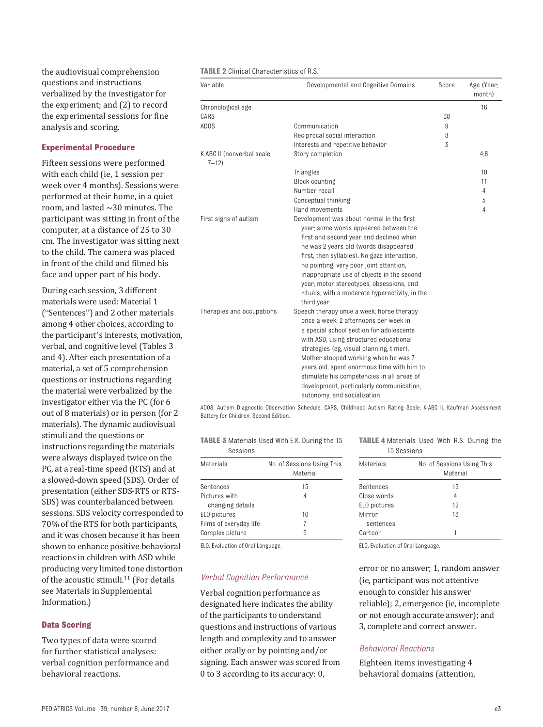the audiovisual comprehension questions and instructions verbalized by the investigator for the experiment; and (2) to record the experimental sessions for fine analysis and scoring.

# **Experimental Procedure**

Fifteen sessions were performed with each child (ie, 1 session per week over 4 months). Sessions were performed at their home, in a quiet room, and lasted ∼30 minutes. The participant was sitting in front of the computer, at a distance of 25 to 30 cm. The investigator was sitting next to the child. The camera was placed in front of the child and filmed his face and upper part of his body.

During each session, 3 different materials were used: Material 1 ("Sentences") and 2 other materials among 4 other choices, according to the participant's interests, motivation, verbal, and cognitive level (Tables 3 and 4). After each presentation of a material, a set of 5 comprehension questions or instructions regarding the material were verbalized by the investigator either via the PC (for 6 out of 8 materials) or in person (for 2 materials). The dynamic audiovisual stimuli and the questions or instructions regarding the materials were always displayed twice on the PC, at a real-time speed (RTS) and at a slowed-down speed (SDS). Order of presentation (either SDS-RTS or RTS-SDS) was counterbalanced between sessions. SDS velocity corresponded to 70% of the RTS for both participants, and it was chosen because it has been shown to enhance positive behavioral reactions in children with ASD while producing very limited tone distortion of the acoustic stimuli.<sup>11</sup> (For details see Materials in Supplemental Information.)

# **Data Scoring**

Two types of data were scored for further statistical analyses: verbal cognition performance and behavioral reactions.

#### **TABLE 2** Clinical Characteristics of R.S.

| Variable                               | Developmental and Cognitive Domains                                                                                                                                                                                                                                                                                                                                                                                                 | Score | Age (Year;<br>month) |
|----------------------------------------|-------------------------------------------------------------------------------------------------------------------------------------------------------------------------------------------------------------------------------------------------------------------------------------------------------------------------------------------------------------------------------------------------------------------------------------|-------|----------------------|
| Chronological age                      |                                                                                                                                                                                                                                                                                                                                                                                                                                     |       | 16                   |
| CARS                                   |                                                                                                                                                                                                                                                                                                                                                                                                                                     | 38    |                      |
| AD <sub>0</sub> S                      | Communication                                                                                                                                                                                                                                                                                                                                                                                                                       | 9     |                      |
|                                        | Reciprocal social interaction                                                                                                                                                                                                                                                                                                                                                                                                       | 8     |                      |
|                                        | Interests and repetitive behavior                                                                                                                                                                                                                                                                                                                                                                                                   | 3     |                      |
| K-ABC II (nonverbal scale,<br>$7 - 12$ | Story completion                                                                                                                                                                                                                                                                                                                                                                                                                    |       | 4:6                  |
|                                        | Triangles                                                                                                                                                                                                                                                                                                                                                                                                                           |       | 10                   |
|                                        | <b>Block counting</b>                                                                                                                                                                                                                                                                                                                                                                                                               |       | 11                   |
|                                        | Number recall                                                                                                                                                                                                                                                                                                                                                                                                                       |       | 4                    |
|                                        | Conceptual thinking                                                                                                                                                                                                                                                                                                                                                                                                                 |       | 5                    |
|                                        | Hand movements                                                                                                                                                                                                                                                                                                                                                                                                                      |       | 4                    |
| First signs of autism                  | Development was about normal in the first<br>year; some words appeared between the<br>first and second year and declined when<br>he was 2 years old (words disappeared<br>first, then syllables). No gaze interaction,<br>no pointing, very poor joint attention,<br>inappropriate use of objects in the second<br>year; motor stereotypes, obsessions, and<br>rituals, with a moderate hyperactivity, in the<br>third year         |       |                      |
| Therapies and occupations              | Speech therapy once a week; horse therapy<br>once a week; 2 afternoons per week in<br>a special school section for adolescents<br>with ASD, using structured educational<br>strategies (eg, visual planning, timer).<br>Mother stopped working when he was 7<br>years old, spent enormous time with him to<br>stimulate his competencies in all areas of<br>development, particularly communication,<br>autonomy, and socialization |       |                      |

ADOS, Autism Diagnostic Observation Schedule; CARS, Childhood Autism Rating Scale; K-ABC II, Kaufman Assessment Battery for Children, Second Edition.

#### **TABLE 3** Materials Used With E.K. During the 15 Sessions

| Materials              | No. of Sessions Using This<br>Material |
|------------------------|----------------------------------------|
| Sentences              | 15                                     |
| Pictures with          | 4                                      |
| changing details       |                                        |
| ELO pictures           | 10                                     |
| Films of everyday life | 7                                      |
| Complex picture        | 9                                      |

ELO, Evaluation of Oral Language.

# *Verbal Cognition Performance*

Verbal cognition performance as designated here indicates the ability of the participants to understand questions and instructions of various length and complexity and to answer either orally or by pointing and/or signing. Each answer was scored from 0 to 3 according to its accuracy: 0,

#### **TABLE 4** Materials Used With R.S. During the 15 Sessions

| No. of Sessions Using This<br>Material |
|----------------------------------------|
| 15                                     |
| 4                                      |
| 12                                     |
| 13                                     |
|                                        |
|                                        |
|                                        |

ELO, Evaluation of Oral Language.

error or no answer; 1, random answer (ie, participant was not attentive enough to consider his answer reliable); 2, emergence (ie, incomplete or not enough accurate answer); and 3, complete and correct answer.

# *Behavioral Reactions*

Eighteen items investigating 4 behavioral domains (attention,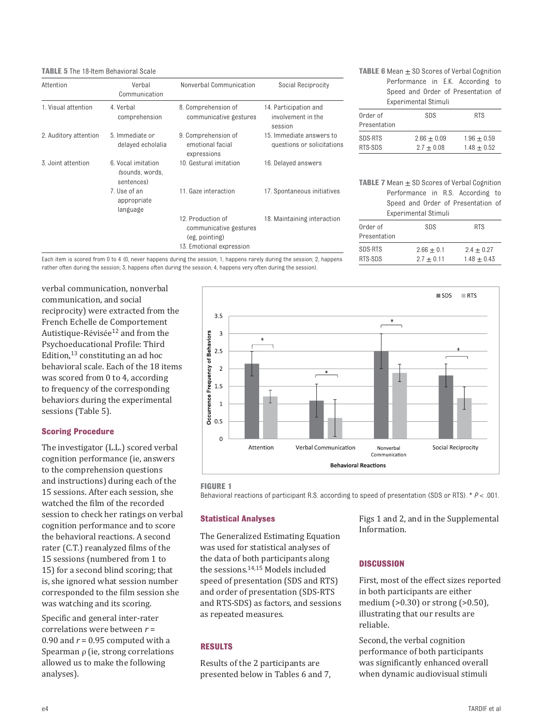### **TABLE 5** The 18-Item Behavioral Scale

| Attention             | Verbal<br>Communication                             | Nonverbal Communication                                                                   | Social Reciprocity                                     |
|-----------------------|-----------------------------------------------------|-------------------------------------------------------------------------------------------|--------------------------------------------------------|
| 1. Visual attention   | 4. Verbal<br>comprehension                          | 8. Comprehension of<br>communicative gestures                                             | 14. Participation and<br>involvement in the<br>session |
| 2. Auditory attention | 5. Immediate or<br>delayed echolalia                | 9. Comprehension of<br>emotional facial<br>expressions                                    | 15. Immediate answers to<br>questions or solicitations |
| 3. Joint attention    | 6. Vocal imitation<br>(sounds, words,<br>sentences) | 10. Gestural imitation                                                                    | 16. Delayed answers                                    |
|                       | 7. Use of an<br>appropriate<br>language             | 11. Gaze interaction                                                                      | 17. Spontaneous initiatives                            |
|                       |                                                     | 12. Production of<br>communicative gestures<br>(eg. pointing)<br>13. Emotional expression | 18. Maintaining interaction                            |

| <b>TABLE 6</b> Mean $\pm$ SD Scores of Verbal Cognition |  |
|---------------------------------------------------------|--|
| Performance in E.K. According to                        |  |
| Speed and Order of Presentation of                      |  |
| Experimental Stimuli                                    |  |

| Order of<br>Presentation | SDS                           | <b>RTS</b>                     |
|--------------------------|-------------------------------|--------------------------------|
| SDS-RTS<br>RTS-SDS       | $2.66 + 0.09$<br>$2.7 + 0.08$ | $1.96 + 0.59$<br>$1.48 + 0.52$ |

**TABLE 7** Mean  $\pm$  SD Scores of Verbal Cognition Performance in R.S. According to Speed and Order of Presentation of Experimental Stimuli

| Order of     | SDS          | <b>RTS</b>    |
|--------------|--------------|---------------|
| Presentation |              |               |
|              |              |               |
| SDS-RTS      | $2.66 + 0.1$ | $2.4 + 0.27$  |
| RTS-SDS      | $2.7 + 0.11$ | $1.48 + 0.43$ |

Each item is scored from 0 to 4 (0, never happens during the session; 1, happens rarely during the session; 2, happens rather often during the session; 3, happens often during the session; 4, happens very often during the session).

verbal communication, nonverbal communication, and social reciprocity) were extracted from the French Echelle de Comportement Autistique-Révisée<sup>[12](#page-5-11)</sup> and from the Psychoeducational Profile: Third Edition,[13](#page-5-12) constituting an ad hoc behavioral scale. Each of the 18 items was scored from 0 to 4, according to frequency of the corresponding behaviors during the experimental sessions (Table 5).

#### **Scoring Procedure**

The investigator (L.L.) scored verbal cognition performance (ie, answers to the comprehension questions and instructions) during each of the 15 sessions. After each session, she watched the film of the recorded session to check her ratings on verbal cognition performance and to score the behavioral reactions. A second rater (C.T.) reanalyzed films of the 15 sessions (numbered from 1 to 15) for a second blind scoring; that is, she ignored what session number corresponded to the film session she was watching and its scoring.

Specific and general inter-rater correlations were between *r* = 0.90 and  $r = 0.95$  computed with a Spearman ρ (ie, strong correlations allowed us to make the following analyses).



<span id="page-3-0"></span>**FIGURE 1**

Behavioral reactions of participant R.S. according to speed of presentation (SDS or RTS). \* *P* < .001.

#### **Statistical Analyses**

The Generalized Estimating Equation was used for statistical analyses of the data of both participants along the sessions[.14](#page-5-13),[15](#page-5-14) Models included speed of presentation (SDS and RTS) and order of presentation (SDS-RTS and RTS-SDS) as factors, and sessions as repeated measures.

# **Results**

Results of the 2 participants are presented below in Tables 6 and 7, [Figs 1](#page-3-0) and [2,](#page-4-0) and in the [Supplemental](http://pediatrics.aappublications.org/lookup/suppl/doi:10.1542/peds.2015-4207/-/DCSupplemental)  [Information.](http://pediatrics.aappublications.org/lookup/suppl/doi:10.1542/peds.2015-4207/-/DCSupplemental)

# **Discussion**

First, most of the effect sizes reported in both participants are either medium (>0.30) or strong (>0.50), illustrating that our results are reliable.

Second, the verbal cognition performance of both participants was significantly enhanced overall when dynamic audiovisual stimuli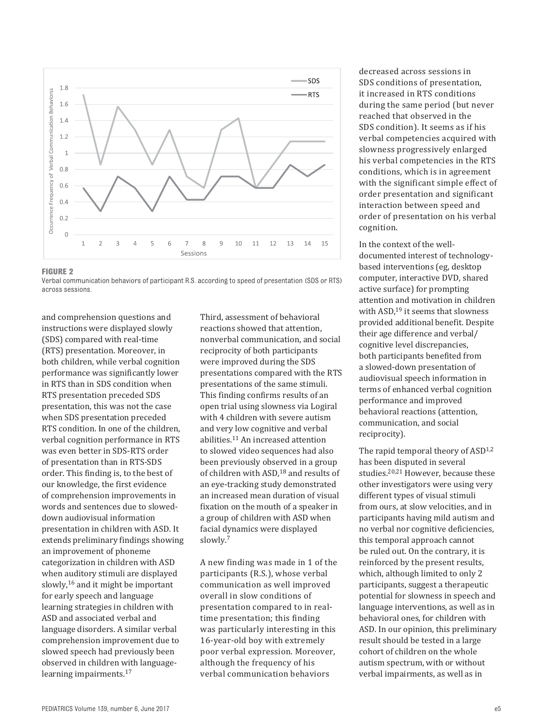

#### <span id="page-4-0"></span>**FIGURE 2**

Verbal communication behaviors of participant R.S. according to speed of presentation (SDS or RTS) across sessions.

and comprehension questions and instructions were displayed slowly (SDS) compared with real-time (RTS) presentation. Moreover, in both children, while verbal cognition performance was significantly lower in RTS than in SDS condition when RTS presentation preceded SDS presentation, this was not the case when SDS presentation preceded RTS condition. In one of the children, verbal cognition performance in RTS was even better in SDS-RTS order of presentation than in RTS-SDS order. This finding is, to the best of our knowledge, the first evidence of comprehension improvements in words and sentences due to sloweddown audiovisual information presentation in children with ASD. It extends preliminary findings showing an improvement of phoneme categorization in children with ASD when auditory stimuli are displayed slowly,<sup>16</sup> and it might be important for early speech and language learning strategies in children with ASD and associated verbal and language disorders. A similar verbal comprehension improvement due to slowed speech had previously been observed in children with language-learning impairments.<sup>[17](#page-5-16)</sup>

Third, assessment of behavioral reactions showed that attention, nonverbal communication, and social reciprocity of both participants were improved during the SDS presentations compared with the RTS presentations of the same stimuli. This finding confirms results of an open trial using slowness via Logiral with 4 children with severe autism and very low cognitive and verbal abilities.[11](#page-5-10) An increased attention to slowed video sequences had also been previously observed in a group of children with ASD,<sup>18</sup> and results of an eye-tracking study demonstrated an increased mean duration of visual fixation on the mouth of a speaker in a group of children with ASD when facial dynamics were displayed slowly.[7](#page-5-6)

A new finding was made in 1 of the participants (R.S.), whose verbal communication as well improved overall in slow conditions of presentation compared to in realtime presentation; this finding was particularly interesting in this 16-year-old boy with extremely poor verbal expression. Moreover, although the frequency of his verbal communication behaviors

decreased across sessions in SDS conditions of presentation, it increased in RTS conditions during the same period (but never reached that observed in the SDS condition). It seems as if his verbal competencies acquired with slowness progressively enlarged his verbal competencies in the RTS conditions, which is in agreement with the significant simple effect of order presentation and significant interaction between speed and order of presentation on his verbal cognition.

In the context of the welldocumented interest of technologybased interventions (eg, desktop computer, interactive DVD, shared active surface) for prompting attention and motivation in children with ASD,<sup>19</sup> it seems that slowness provided additional benefit. Despite their age difference and verbal/ cognitive level discrepancies, both participants benefited from a slowed-down presentation of audiovisual speech information in terms of enhanced verbal cognition performance and improved behavioral reactions (attention, communication, and social reciprocity).

The rapid temporal theory of  $ASD^{1,2}$  $ASD^{1,2}$  $ASD^{1,2}$  $ASD^{1,2}$  $ASD^{1,2}$ has been disputed in several studies[.20](#page-5-19),[21](#page-5-20) However, because these other investigators were using very different types of visual stimuli from ours, at slow velocities, and in participants having mild autism and no verbal nor cognitive deficiencies, this temporal approach cannot be ruled out. On the contrary, it is reinforced by the present results, which, although limited to only 2 participants, suggest a therapeutic potential for slowness in speech and language interventions, as well as in behavioral ones, for children with ASD. In our opinion, this preliminary result should be tested in a large cohort of children on the whole autism spectrum, with or without verbal impairments, as well as in